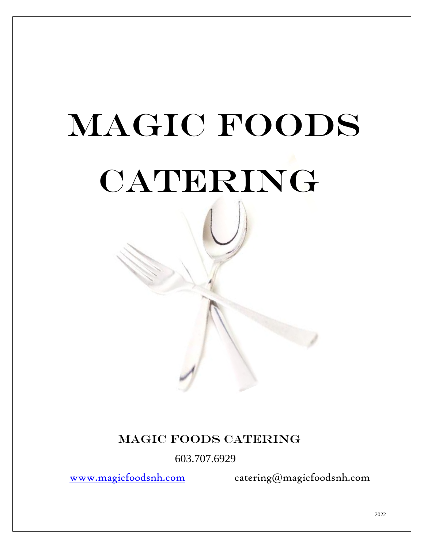# MAGIC FOODS CATERING

# Magic foods catering

603.707.6929

[www.magicfoodsnh.com](http://www.magicfoodsnh.com/) catering@magicfoodsnh.com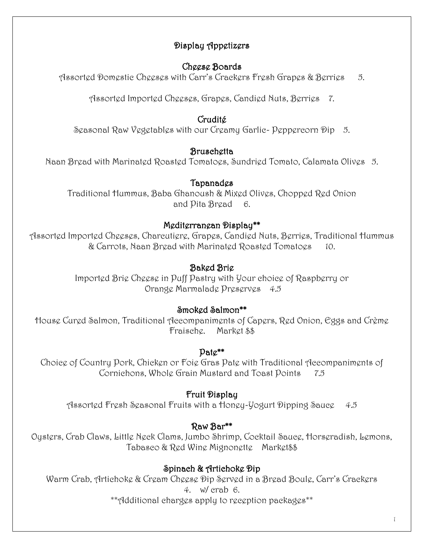# Display Appetizers

# Cheese Boards

Assorted Domestic Cheeses with Carr's Crackers Fresh Grapes & Berries 5.

Assorted Imported Cheeses, Grapes, Candied Nuts, Berries 7.

# Crudité

Seasonal Raw Vegetables with our Creamy Garlic- Peppercorn Dip 5.

# **Bruschetta**

Naan Bread with Marinated Roasted Tomatoes, Sundried Tomato, Calamata Olives 5.

# **Tapanad**es

Traditional Hummus, Baba Ghanoush & Mixed Olives, Chopped Red Onion and Pita Bread 6.

# Mediterranean Display\*\*

Assorted Imported Cheeses, Charcutiere, Grapes, Candied Nuts, Berries, Traditional Hummus & Carrots, Naan Bread with Marinated Roasted Tomatoes 10.

# Baked Brie

Imported Brie Cheese in Puff Pastry with Your choice of Raspberry or Orange Marmalade Preserves 4.5

# Smoked Salmon\*\*

House Cured Salmon, Traditional Accompaniments of Capers, Red Onion, Eggs and Crème Fraische. Market \$\$

# Pate\*\*

Choice of Country Pork, Chicken or Foie Gras Pate with Traditional Accompaniments of Cornichons, Whole Grain Mustard and Toast Points 7.5

# Fruit Display

Assorted Fresh Seasonal Fruits with a Honey-Yogurt Dipping Sauce 4.5

# Raw Bar\*\*

Oysters, Crab Claws, Little Neck Clams, Jumbo Shrimp, Cocktail Sauce, Horseradish, Lemons, Tabasco & Red Wine Mignonette Market\$\$

# Spinach & Artichoke Dip

Warm Crab, Artichoke & Cream Cheese Dip Served in a Bread Boule, Carr's Crackers 4. w/ crab 6.

\*\*Additional charges apply to reception packages\*\*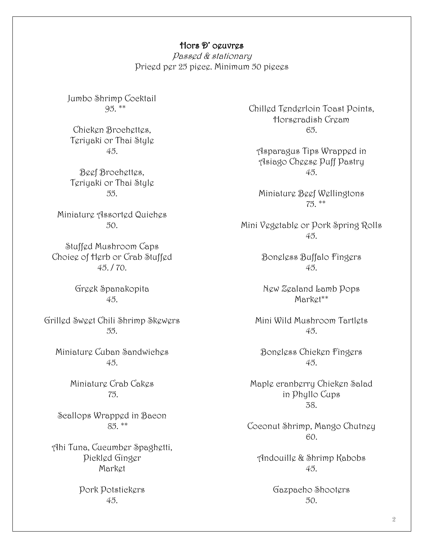#### Hors D' oeuvres

Passed & stationary Priced per 25 piece. Minimum 50 pieces

Jumbo Shrimp Cocktail 95. \*\*

Chicken Brochettes, Teriyaki or Thai Style 45.

Beef Brochettes, Teriyaki or Thai Style 55.

Miniature Assorted Quiches 50.

Stuffed Mushroom Caps Choice of Herb or Crab Stuffed 45. / 70.

> Greek Spanakopita 45.

Grilled Sweet Chili Shrimp Skewers 55.

Miniature Cuban Sandwiches 45.

> Miniature Crab Cakes 75.

Scallops Wrapped in Bacon 85. \*\*

Ahi Tuna, Cucumber Spaghetti, Pickled Ginger Market

> Pork Potstickers 45.

Chilled Tenderloin Toast Points, Horseradish Cream 65.

Asparagus Tips Wrapped in Asiago Cheese Puff Pastry 45.

Miniature Beef Wellingtons 75. \*\*

Mini Vegetable or Pork Spring Rolls 45.

> Boneless Buffalo Fingers 45.

New Zealand Lamb Pops Market\*\*

Mini Wild Mushroom Tartlets 45.

Boneless Chicken Fingers 45.

Maple cranberry Chicken Salad in Phyllo Cups 38.

Coconut Shrimp, Mango Chutney 60.

Andouille & Shrimp Kabobs 45.

> Gazpacho Shooters 50.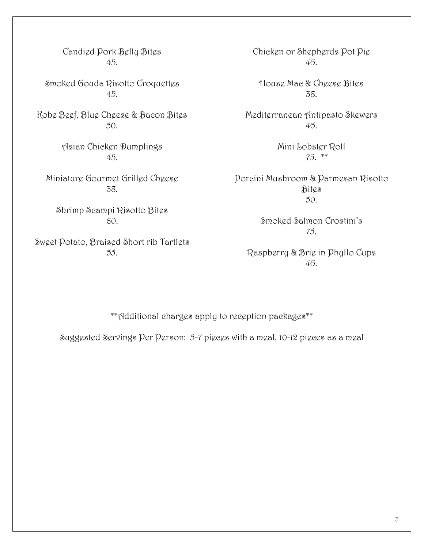Candied Pork Belly Bites 45.

Smoked Gouda Risotto Croquettes 45.

Kobe Beef, Blue Cheese & Bacon Bites 50.

> Asian Chicken Dumplings 45.

Miniature Gourmet Grilled Cheese 38.

Shrimp Scampi Risotto Bites 60.

Sweet Potato, Braised Short rib Tartlets 55.

Chicken or Shepherds Pot Pie 45.

House Mac & Cheese Bites 38.

Mediterranean Antipasto Skewers 45.

> Mini Lobster Roll 75. \*\*

Porcini Mushroom & Parmesan Risotto Bites  $50.$ 

> Smoked Salmon Crostini's 75.

Raspberry & Brie in Phyllo Cups 45.

\*\*Additional charges apply to reception packages\*\*

Suggested Servings Per Person: 5-7 pieces with a meal, 10-12 pieces as a meal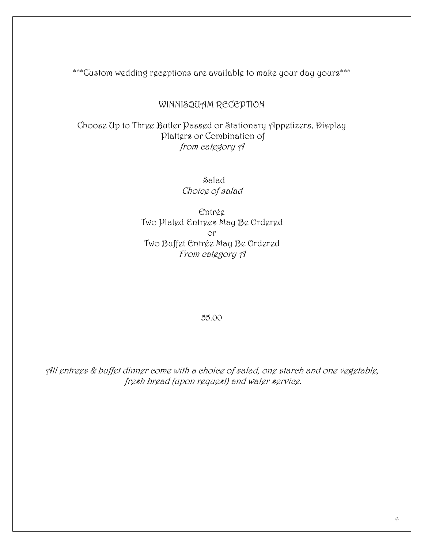\*\*\*Custom wedding receptions are available to make your day yours\*\*\*

#### WINNISQUAM RECEPTION

Choose Up to Three Butler Passed or Stationary Appetizers, Display Platters or Combination of from category A

> Salad Choice of salad

Entrée Two Plated Entrees May Be Ordered or Two Buffet Entrée May Be Ordered From category A

55.00

All entrees & buffet dinner come with a choice of salad, one starch and one vegetable, fresh bread (upon request) and water service.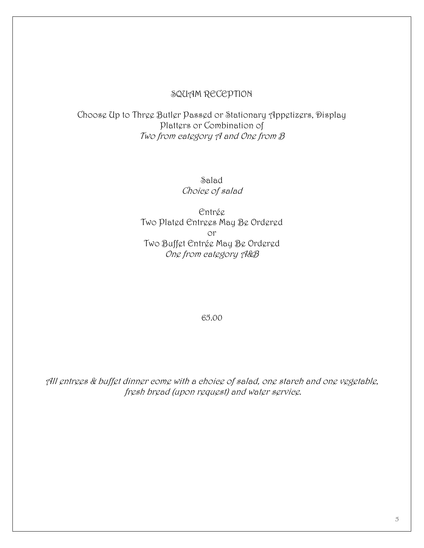#### SQUAM RECEPTION

# Choose Up to Three Butler Passed or Stationary Appetizers, Display Platters or Combination of Two from category A and One from B

Salad Choice of salad

Entrée Two Plated Entrees May Be Ordered or Two Buffet Entrée May Be Ordered One from category A&B

65.00

All entrees & buffet dinner come with a choice of salad, one starch and one vegetable, fresh bread (upon request) and water service.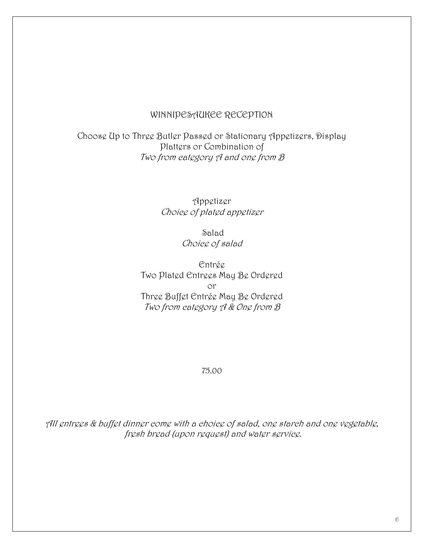#### WINNIPESAUKEE RECEPTION

Choose Up to Three Butler Passed or Stationary Appetizers, Display Platters or Combination of Two from category  $\beta$  and one from  $\beta$ 

> Appetizer Choice of plated appetizer

> > Salad Choice of salad

Entrée Two Plated Entrees May Be Ordered or Three Buffet Entrée May Be Ordered Two from category A & One from  $\beta$ 

#### 75.00

All entrees & buffet dinner come with a choice of salad, one starch and one vegetable, fresh bread (upon request) and water service.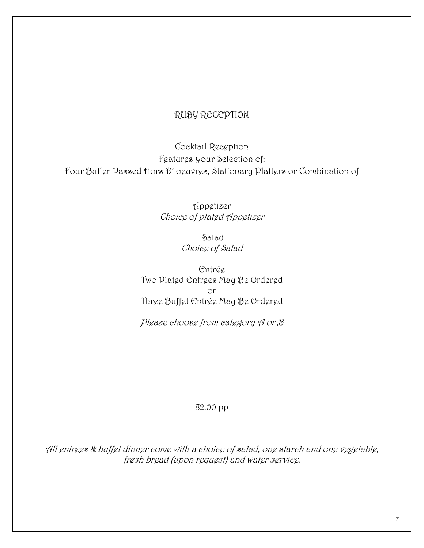## RUBY RECEPTION

Cocktail Reception Features Your Selection of: Four Butler Passed Hors D' oeuvres, Stationary Platters or Combination of

> Appetizer Choice of plated Appetizer

> > Salad Choice of Salad

Entrée Two Plated Entrees May Be Ordered or Three Buffet Entrée May Be Ordered

Please choose from category A or B

#### 82.00 pp

All entrees & buffet dinner come with a choice of salad, one starch and one vegetable, fresh bread (upon request) and water service.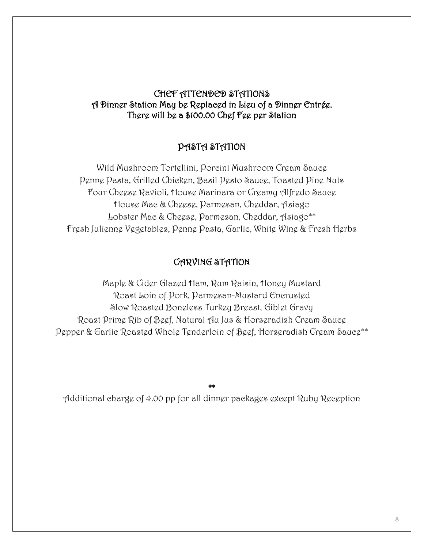# CHEF ATTENDED STATIONS A Dinner Station May be Replaced in Lieu of a Dinner Entrée. There will be a \$100.00 Chef Fee per Station

#### PASTA STATION

Wild Mushroom Tortellini, Porcini Mushroom Cream Sauce Penne Pasta, Grilled Chicken, Basil Pesto Sauce, Toasted Pine Nuts Four Cheese Ravioli, House Marinara or Creamy Alfredo Sauce House Mac & Cheese, Parmesan, Cheddar, Asiago Lobster Mac & Cheese, Parmesan, Cheddar, Asiago\*\* Fresh Julienne Vegetables, Penne Pasta, Garlic, White Wine & Fresh Herbs

# CARVING STATION

Maple & Cider Glazed Ham, Rum Raisin, Honey Mustard Roast Loin of Pork, Parmesan-Mustard Encrusted Slow Roasted Boneless Turkey Breast, Giblet Gravy Roast Prime Rib of Beef, Natural Au Jus & Horseradish Cream Sauce Pepper & Garlic Roasted Whole Tenderloin of Beef, Horseradish Cream Sauce\*\*

\*\* Additional charge of 4.00 pp for all dinner packages except Ruby Reception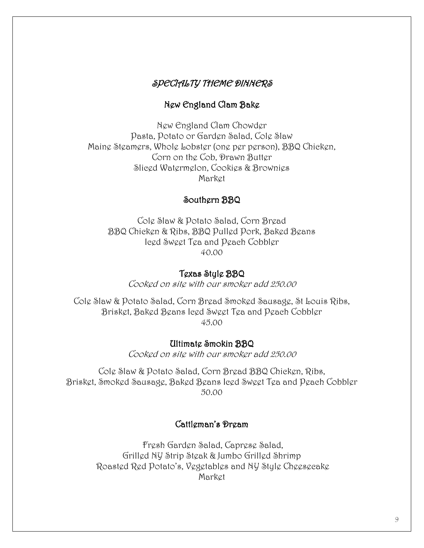## SPECIALTY THEME DINNERS

#### New England Clam Bake

New England Clam Chowder Pasta, Potato or Garden Salad, Cole Slaw Maine Steamers, Whole Lobster (one per person), BBQ Chicken, Corn on the Cob, Drawn Butter Sliced Watermelon, Cookies & Brownies Market

#### Southern BBQ

Cole Slaw & Potato Salad, Corn Bread BBQ Chicken & Ribs, BBQ Pulled Pork, Baked Beans Iced Sweet Tea and Peach Cobbler 40.00

#### Texas Style BBQ

Cooked on site with our smoker add 250.00

Cole Slaw & Potato Salad, Corn Bread Smoked Sausage, St Louis Ribs, Brisket, Baked Beans Iced Sweet Tea and Peach Cobbler 45.00

#### Ultimate Smokin BBQ

Cooked on site with our smoker add 250.00

Cole Slaw & Potato Salad, Corn Bread BBQ Chicken, Ribs, Brisket, Smoked Sausage, Baked Beans Iced Sweet Tea and Peach Cobbler 50.00

#### Cattleman's Dream

Fresh Garden Salad, Caprese Salad, Grilled NY Strip Steak & Jumbo Grilled Shrimp Roasted Red Potato's, Vegetables and NY Style Cheesecake Market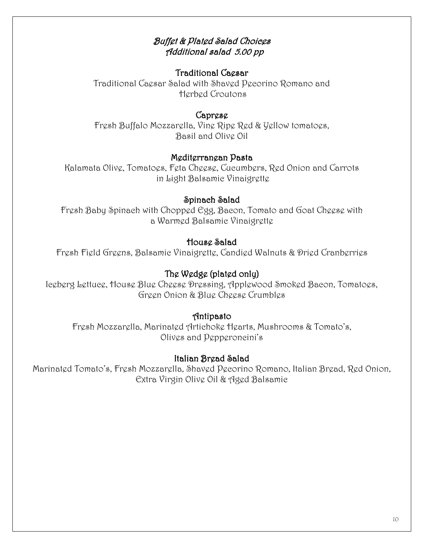# Buffet & Plated Salad Choices Additional salad 5.00 pp

#### Traditional Caesar

Traditional Caesar Salad with Shaved Pecorino Romano and Herbed Croutons

#### Caprese

Fresh Buffalo Mozzarella, Vine Ripe Red & Yellow tomatoes, Basil and Olive Oil

#### Mediterranean Pasta

Kalamata Olive, Tomatoes, Feta Cheese, Cucumbers, Red Onion and Carrots in Light Balsamic Vinaigrette

#### Spinach Salad

Fresh Baby Spinach with Chopped Egg, Bacon, Tomato and Goat Cheese with a Warmed Balsamic Vinaigrette

#### House Salad

Fresh Field Greens, Balsamic Vinaigrette, Candied Walnuts & Dried Cranberries

# The Wedge (plated only)

Iceberg Lettuce, House Blue Cheese Dressing, Applewood Smoked Bacon, Tomatoes, Green Onion & Blue Cheese Crumbles

#### Antipasto

Fresh Mozzarella, Marinated Artichoke Hearts, Mushrooms & Tomato's, Olives and Pepperoncini's

#### Italian Bread Salad

Marinated Tomato's, Fresh Mozzarella, Shaved Pecorino Romano, Italian Bread, Red Onion, Extra Virgin Olive Oil & Aged Balsamic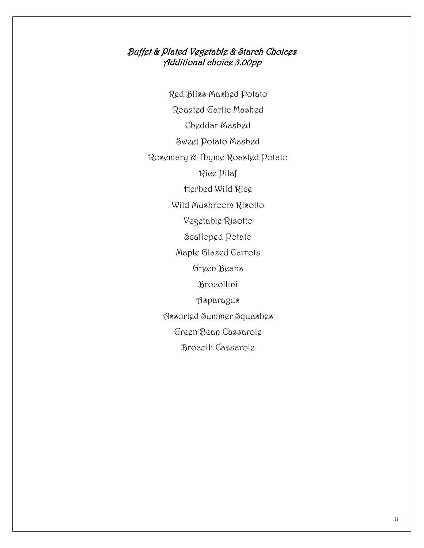## Buffet & Plated Vegetable & Starch Choices Additional choice 3.00pp

Red Bliss Mashed Potato Roasted Garlic Mashed Cheddar Mashed Sweet Potato Mashed Rosemary & Thyme Roasted Potato Rice Pilaf Herbed Wild Rice Wild Mushroom Risotto Vegetable Risotto Scalloped Potato Maple Glazed Carrots Green Beans Brocollini Asparagus Assorted Summer Squashes Green Bean Cassarole Brocolli Cassarole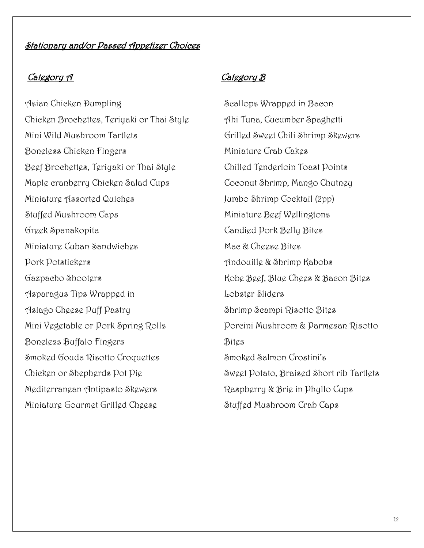# Stationary and/or Passed Appetizer Choices

#### Category 1

Asian Chicken Dumpling Chicken Brochettes, Teriyaki or Thai Style Mini Wild Mushroom Tartlets Boneless Chicken Fingers Beef Brochettes, Teriyaki or Thai Style Maple cranberry Chicken Salad Cups Miniature Assorted Quiches Stuffed Mushroom Caps Greek Spanakopita Miniature Cuban Sandwiches Pork Potstickers Gazpacho Shooters Asparagus Tips Wrapped in Asiago Cheese Puff Pastry Mini Vegetable or Pork Spring Rolls Boneless Buffalo Fingers Smoked Gouda Risotto Croquettes Chicken or Shepherds Pot Pie Mediterranean Antipasto Skewers Miniature Gourmet Grilled Cheese

Scallops Wrapped in Bacon Ahi Tuna, Cucumber Spaghetti Grilled Sweet Chili Shrimp Skewers Miniature Crab Cakes Chilled Tenderloin Toast Points Coconut Shrimp, Mango Chutney Jumbo Shrimp Cocktail (2pp) Miniature Beef Wellingtons Candied Pork Belly Bites Mac & Cheese Bites Andouille & Shrimp Kabobs Kobe Beef, Blue Chees & Bacon Bites Lobster Sliders Shrimp Scampi Risotto Bites Porcini Mushroom & Parmesan Risotto Bites Smoked Salmon Crostini's Sweet Potato, Braised Short rib Tartlets Raspberry & Brie in Phyllo Cups Stuffed Mushroom Crab Caps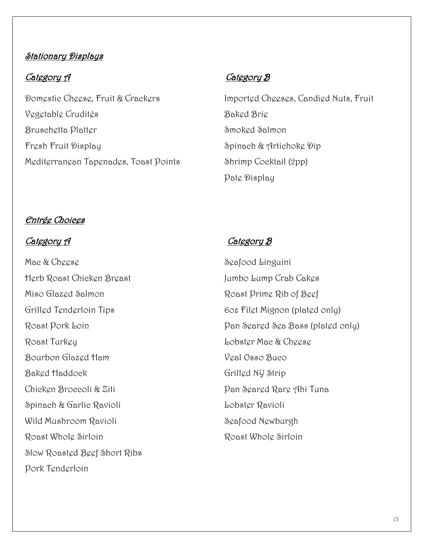# **Stationary Displays**

### Category 1

Domestic Cheese, Fruit & Crackers Vegetable Crudités Bruschetta Platter Fresh Fruit Display Mediterranean Tapenades, Toast Points

Imported Cheeses, Candied Nuts, Fruit Baked Brie Smoked Salmon Spinach & Artichoke Dip Shrimp Cocktail (2pp) Pate Display

# Entrée Choices

Mac & Cheese Herb Roast Chicken Breast Miso Glazed Salmon Grilled Tenderloin Tips Roast Pork Loin Roast Turkey Bourbon Glazed Ham Baked Haddock Chicken Broccoli & Ziti Spinach & Garlic Ravioli Wild Mushroom Ravioli Roast Whole Sirloin Slow Roasted Beef Short Ribs Pork Tenderloin

# Category 1

Seafood Linguini Jumbo Lump Crab Cakes Roast Prime Rib of Beef 6oz Filet Mignon (plated only) Pan Seared Sea Bass (plated only) Lobster Mac & Cheese Veal Osso Buco Grilled NY Strip Pan Seared Rare Ahi Tuna Lobster Ravioli Seafood Newburgh Roast Whole Sirloin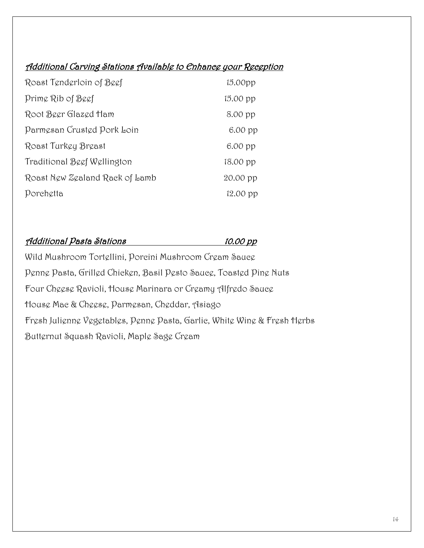# Additional Carving Stations Available to Enhance your Reception

| Roast Tenderloin of Beef       | 15.00 <sub>pp</sub> |
|--------------------------------|---------------------|
| Prime Rib of Beef              | 15.00 pp            |
| Root Beer Glazed Ham           | 8.00 pp             |
| Parmesan Crusted Pork Loin     | $6.00$ pp           |
| Roast Turkey Breast            | 6.00 pp             |
| Traditional Beef Wellington    | 18.00 pp            |
| Roast New Zealand Rack of Lamb | 20.00 pp            |
| Porchetta                      | $12.00$ pp          |

#### Additional Pasta Stations 10.00 pp

Wild Mushroom Tortellini, Porcini Mushroom Cream Sauce Penne Pasta, Grilled Chicken, Basil Pesto Sauce, Toasted Pine Nuts Four Cheese Ravioli, House Marinara or Creamy Alfredo Sauce House Mac & Cheese, Parmesan, Cheddar, Asiago Fresh Julienne Vegetables, Penne Pasta, Garlic, White Wine & Fresh Herbs Butternut Squash Ravioli, Maple Sage Cream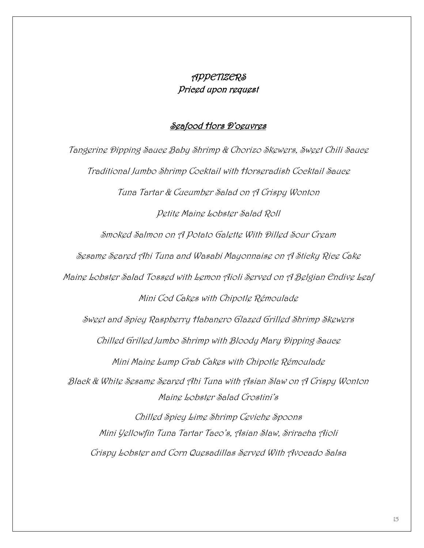# APPETIZERS Priced upon request

#### Seafood Hors D'oeuvres

Tangerine Dipping Sauce Baby Shrimp & Chorizo Skewers, Sweet Chili Sauce Traditional Jumbo Shrimp Cocktail with Horseradish Cocktail Sauce Tuna Tartar & Cucumber Salad on A Crispy Wonton Petite Maine Lobster Salad Roll Smoked Salmon on A Potato Galette With Dilled Sour Cream Sesame Seared Ahi Tuna and Wasabi Mayonnaise on A Sticky Rice Cake Maine Lobster Salad Tossed with Lemon Aioli Served on A Belgian Endive Leaf Mini Cod Cakes with Chipotle Rémoulade Sweet and Spicy Raspberry Habanero Glazed Grilled Shrimp Skewers Chilled Grilled Jumbo Shrimp with Bloody Mary Dipping Sauce Mini Maine Lump Crab Cakes with Chipotle Rémoulade Black & White Sesame Seared Ahi Tuna with Asian Slaw on A Crispy Wonton Maine Lobster Salad Crostini's Chilled Spicy Lime Shrimp Ceviche Spoons Mini Yellowfin Tuna Tartar Taco's, Asian Slaw, Sriracha Aioli Crispy Lobster and Corn Quesadillas Served With Avocado Salsa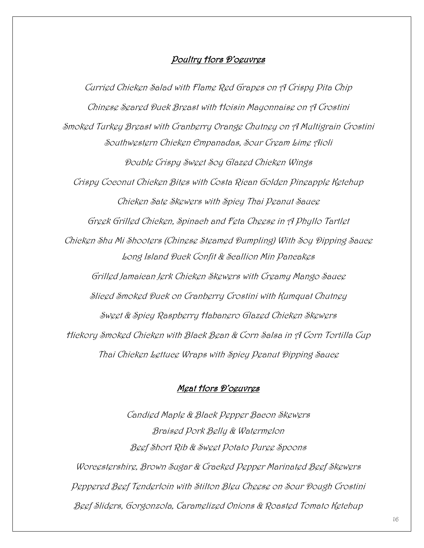#### Poultry Hors D'oeuvres

Curried Chicken Salad with Flame Red Grapes on A Crispy Pita Chip Chinese Seared Duck Breast with Hoisin Mayonnaise on A Crostini Smoked Turkey Breast with Cranberry Orange Chutney on A Multigrain Crostini Southwestern Chicken Empanadas, Sour Cream Lime Aioli Double Crispy Sweet Soy Glazed Chicken Wings Crispy Coconut Chicken Bites with Costa Rican Golden Pineapple Ketchup Chicken Sate Skewers with Spicy Thai Peanut Sauce Greek Grilled Chicken, Spinach and Feta Cheese in A Phyllo Tartlet Chicken Shu Mi Shooters (Chinese Steamed Dumpling) With Soy Dipping Sauce Long Island Duck Confit & Scallion Min Pancakes Grilled Jamaican Jerk Chicken Skewers with Creamy Mango Sauce Sliced Smoked Duck on Cranberry Crostini with Kumquat Chutney Sweet & Spicy Raspberry Habanero Glazed Chicken Skewers Hickory Smoked Chicken with Black Bean & Corn Salsa in A Corn Tortilla Cup Thai Chicken Lettuce Wraps with Spicy Peanut Dipping Sauce

#### Meat Hors D'oeuvres

Candied Maple & Black Pepper Bacon Skewers Braised Pork Belly & Watermelon Beef Short Rib & Sweet Potato Puree Spoons Worcestershire, Brown Sugar & Cracked Pepper Marinated Beef Skewers Peppered Beef Tenderloin with Stilton Bleu Cheese on Sour Dough Crostini Beef Sliders, Gorgonzola, Caramelized Onions & Roasted Tomato Ketchup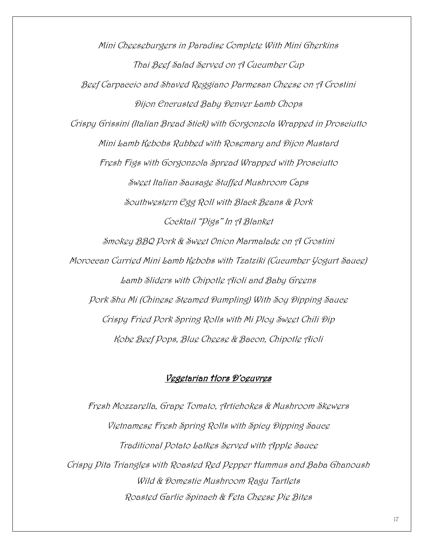Mini Cheeseburgers in Paradise Complete With Mini Gherkins Thai Beef Salad Served on A Cucumber Cup Beef Carpaccio and Shaved Reggiano Parmesan Cheese on A Crostini Dijon Encrusted Baby Denver Lamb Chops Crispy Grissini (Italian Bread Stick) with Gorgonzola Wrapped in Prosciutto Mini Lamb Kebobs Rubbed with Rosemary and Dijon Mustard Fresh Figs with Gorgonzola Spread Wrapped with Prosciutto Sweet Italian Sausage Stuffed Mushroom Caps Southwestern Egg Roll with Black Beans & Pork Cocktail "Pigs" In A Blanket Smokey BBQ Pork & Sweet Onion Marmalade on A Crostini Moroccan Curried Mini Lamb Kebobs with Tzatziki (Cucumber Yogurt Sauce) Lamb Sliders with Chipotle Aioli and Baby Greens Pork Shu Mi (Chinese Steamed Dumpling) With Soy Dipping Sauce Crispy Fried Pork Spring Rolls with Mi Ploy Sweet Chili Dip Kobe Beef Pops, Blue Cheese & Bacon, Chipotle Aioli

#### Vegetarian Hors D'oeuvres

Fresh Mozzarella, Grape Tomato, Artichokes & Mushroom Skewers Vietnamese Fresh Spring Rolls with Spicy Dipping Sauce Traditional Potato Latkes Served with Apple Sauce Crispy Pita Triangles with Roasted Red Pepper Hummus and Baba Ghanoush Wild & Domestic Mushroom Ragu Tartlets Roasted Garlic Spinach & Feta Cheese Pie Bites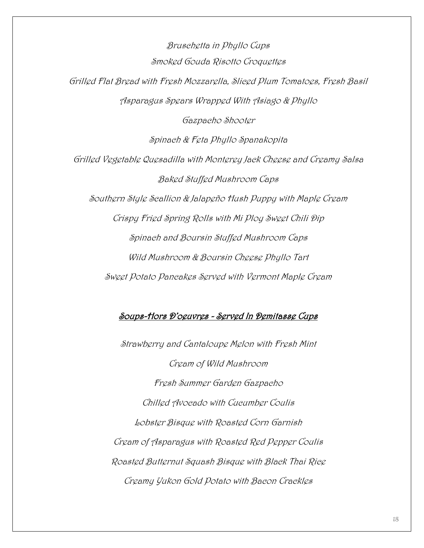Bruschetta in Phyllo Cups Smoked Gouda Risotto Croquettes Grilled Flat Bread with Fresh Mozzarella, Sliced Plum Tomatoes, Fresh Basil Asparagus Spears Wrapped With Asiago & Phyllo Gazpacho Shooter Spinach & Feta Phyllo Spanakopita Grilled Vegetable Quesadilla with Monterey Jack Cheese and Creamy Salsa Baked Stuffed Mushroom Caps Southern Style Scallion & Jalapeño Hush Puppy with Maple Cream Crispy Fried Spring Rolls with Mi Ploy Sweet Chili Dip Spinach and Boursin Stuffed Mushroom Caps Wild Mushroom & Boursin Cheese Phyllo Tart Sweet Potato Pancakes Served with Vermont Maple Cream

#### Soups-Hors D'oeuvres - Served In Demitasse Cups

Strawberry and Cantaloupe Melon with Fresh Mint Cream of Wild Mushroom Fresh Summer Garden Gazpacho Chilled Avocado with Cucumber Coulis Lobster Bisque with Roasted Corn Garnish Cream of Asparagus with Roasted Red Pepper Coulis Roasted Butternut Squash Bisque with Black Thai Rice Creamy Yukon Gold Potato with Bacon Crackles